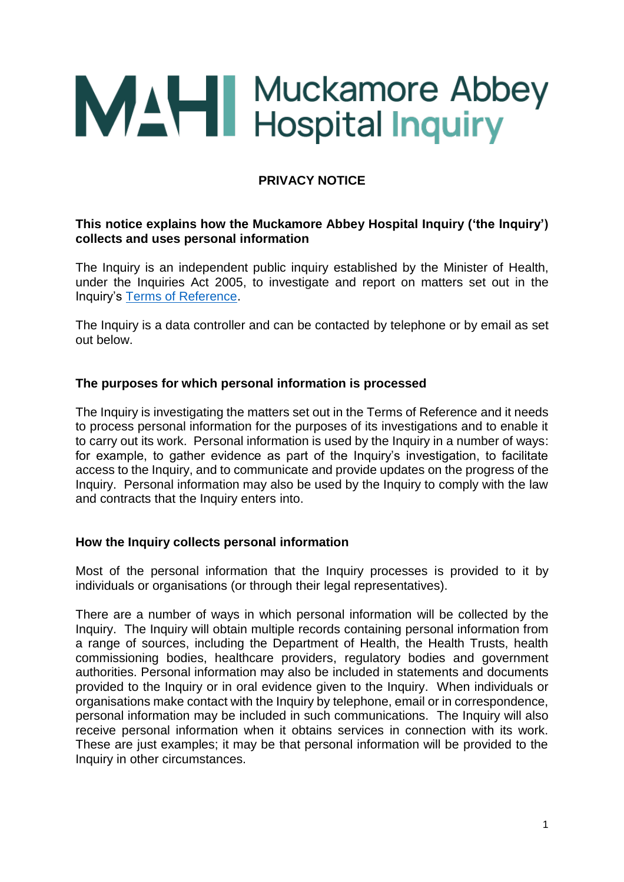

# **PRIVACY NOTICE**

#### **This notice explains how the Muckamore Abbey Hospital Inquiry ('the Inquiry') collects and uses personal information**

The Inquiry is an independent public inquiry established by the Minister of Health, under the Inquiries Act 2005, to investigate and report on matters set out in the Inquiry's [Terms of Reference.](https://www.mahinquiry.org.uk/files/mahinquiry/documents/2021-10/tor-mahi.pdf)

The Inquiry is a data controller and can be contacted by telephone or by email as set out below.

#### **The purposes for which personal information is processed**

The Inquiry is investigating the matters set out in the Terms of Reference and it needs to process personal information for the purposes of its investigations and to enable it to carry out its work. Personal information is used by the Inquiry in a number of ways: for example, to gather evidence as part of the Inquiry's investigation, to facilitate access to the Inquiry, and to communicate and provide updates on the progress of the Inquiry. Personal information may also be used by the Inquiry to comply with the law and contracts that the Inquiry enters into.

#### **How the Inquiry collects personal information**

Most of the personal information that the Inquiry processes is provided to it by individuals or organisations (or through their legal representatives).

There are a number of ways in which personal information will be collected by the Inquiry. The Inquiry will obtain multiple records containing personal information from a range of sources, including the Department of Health, the Health Trusts, health commissioning bodies, healthcare providers, regulatory bodies and government authorities. Personal information may also be included in statements and documents provided to the Inquiry or in oral evidence given to the Inquiry. When individuals or organisations make contact with the Inquiry by telephone, email or in correspondence, personal information may be included in such communications. The Inquiry will also receive personal information when it obtains services in connection with its work. These are just examples; it may be that personal information will be provided to the Inquiry in other circumstances.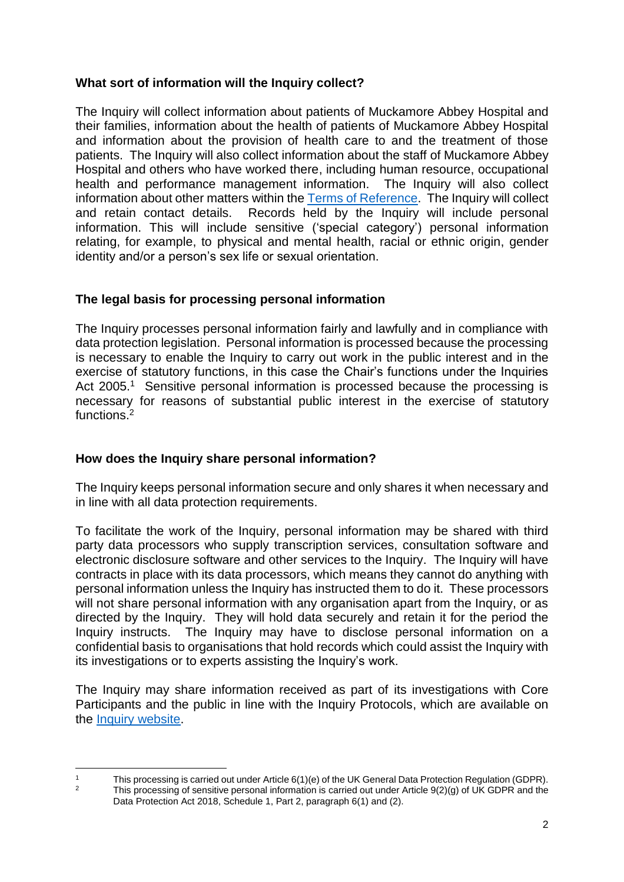## **What sort of information will the Inquiry collect?**

The Inquiry will collect information about patients of Muckamore Abbey Hospital and their families, information about the health of patients of Muckamore Abbey Hospital and information about the provision of health care to and the treatment of those patients. The Inquiry will also collect information about the staff of Muckamore Abbey Hospital and others who have worked there, including human resource, occupational health and performance management information. The Inquiry will also collect information about other matters within the [Terms of Reference.](https://www.mahinquiry.org.uk/files/mahinquiry/documents/2021-10/tor-mahi.pdf) The Inquiry will collect and retain contact details. Records held by the Inquiry will include personal information. This will include sensitive ('special category') personal information relating, for example, to physical and mental health, racial or ethnic origin, gender identity and/or a person's sex life or sexual orientation.

# **The legal basis for processing personal information**

The Inquiry processes personal information fairly and lawfully and in compliance with data protection legislation. Personal information is processed because the processing is necessary to enable the Inquiry to carry out work in the public interest and in the exercise of statutory functions, in this case the Chair's functions under the Inquiries Act 2005.<sup>1</sup> Sensitive personal information is processed because the processing is necessary for reasons of substantial public interest in the exercise of statutory functions. 2

## **How does the Inquiry share personal information?**

The Inquiry keeps personal information secure and only shares it when necessary and in line with all data protection requirements.

To facilitate the work of the Inquiry, personal information may be shared with third party data processors who supply transcription services, consultation software and electronic disclosure software and other services to the Inquiry. The Inquiry will have contracts in place with its data processors, which means they cannot do anything with personal information unless the Inquiry has instructed them to do it. These processors will not share personal information with any organisation apart from the Inquiry, or as directed by the Inquiry. They will hold data securely and retain it for the period the Inquiry instructs. The Inquiry may have to disclose personal information on a confidential basis to organisations that hold records which could assist the Inquiry with its investigations or to experts assisting the Inquiry's work.

The Inquiry may share information received as part of its investigations with Core Participants and the public in line with the Inquiry Protocols, which are available on the [Inquiry website.](https://www.mahinquiry.org.uk/)

 $\overline{a}$ <sup>1</sup> This processing is carried out under Article  $6(1)(e)$  of the UK General Data Protection Regulation (GDPR).<br><sup>2</sup> This processing of consitive personal information is earnied out under Article 0(3)(a) of LIK GDPR and the

<sup>2</sup> This processing of sensitive personal information is carried out under Article 9(2)(g) of UK GDPR and the Data Protection Act 2018, Schedule 1, Part 2, paragraph 6(1) and (2).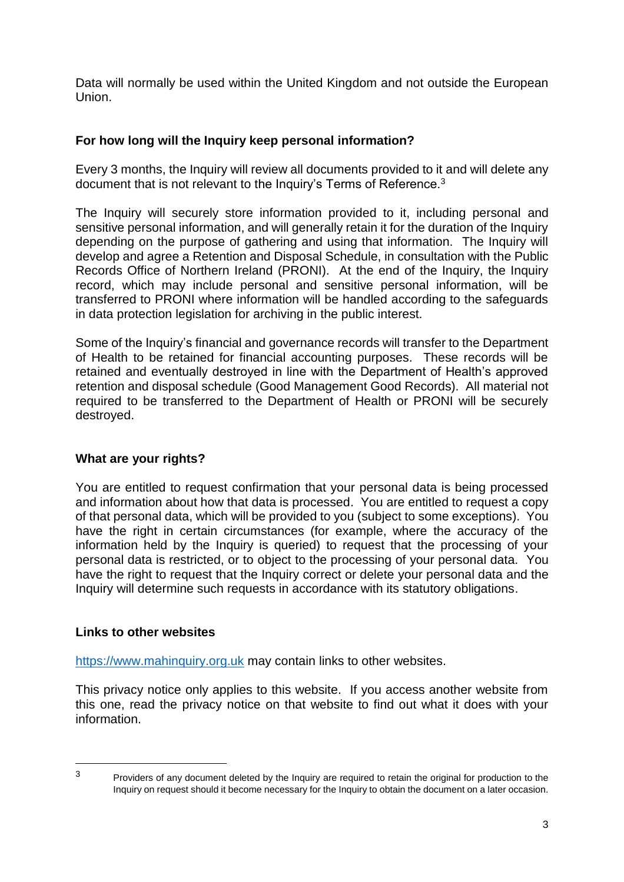Data will normally be used within the United Kingdom and not outside the European Union.

## **For how long will the Inquiry keep personal information?**

Every 3 months, the Inquiry will review all documents provided to it and will delete any document that is not relevant to the Inquiry's Terms of Reference.<sup>3</sup>

The Inquiry will securely store information provided to it, including personal and sensitive personal information, and will generally retain it for the duration of the Inquiry depending on the purpose of gathering and using that information. The Inquiry will develop and agree a Retention and Disposal Schedule, in consultation with the Public Records Office of Northern Ireland (PRONI). At the end of the Inquiry, the Inquiry record, which may include personal and sensitive personal information, will be transferred to PRONI where information will be handled according to the safeguards in data protection legislation for archiving in the public interest.

Some of the Inquiry's financial and governance records will transfer to the Department of Health to be retained for financial accounting purposes. These records will be retained and eventually destroyed in line with the Department of Health's approved retention and disposal schedule (Good Management Good Records). All material not required to be transferred to the Department of Health or PRONI will be securely destroyed.

## **What are your rights?**

You are entitled to request confirmation that your personal data is being processed and information about how that data is processed. You are entitled to request a copy of that personal data, which will be provided to you (subject to some exceptions). You have the right in certain circumstances (for example, where the accuracy of the information held by the Inquiry is queried) to request that the processing of your personal data is restricted, or to object to the processing of your personal data. You have the right to request that the Inquiry correct or delete your personal data and the Inquiry will determine such requests in accordance with its statutory obligations.

#### **Links to other websites**

[https://www.mahinquiry.org.uk](https://www.mahinquiry.org.uk/) may contain links to other websites.

This privacy notice only applies to this website. If you access another website from this one, read the privacy notice on that website to find out what it does with your information.

 $\overline{3}$ 

Providers of any document deleted by the Inquiry are required to retain the original for production to the Inquiry on request should it become necessary for the Inquiry to obtain the document on a later occasion.